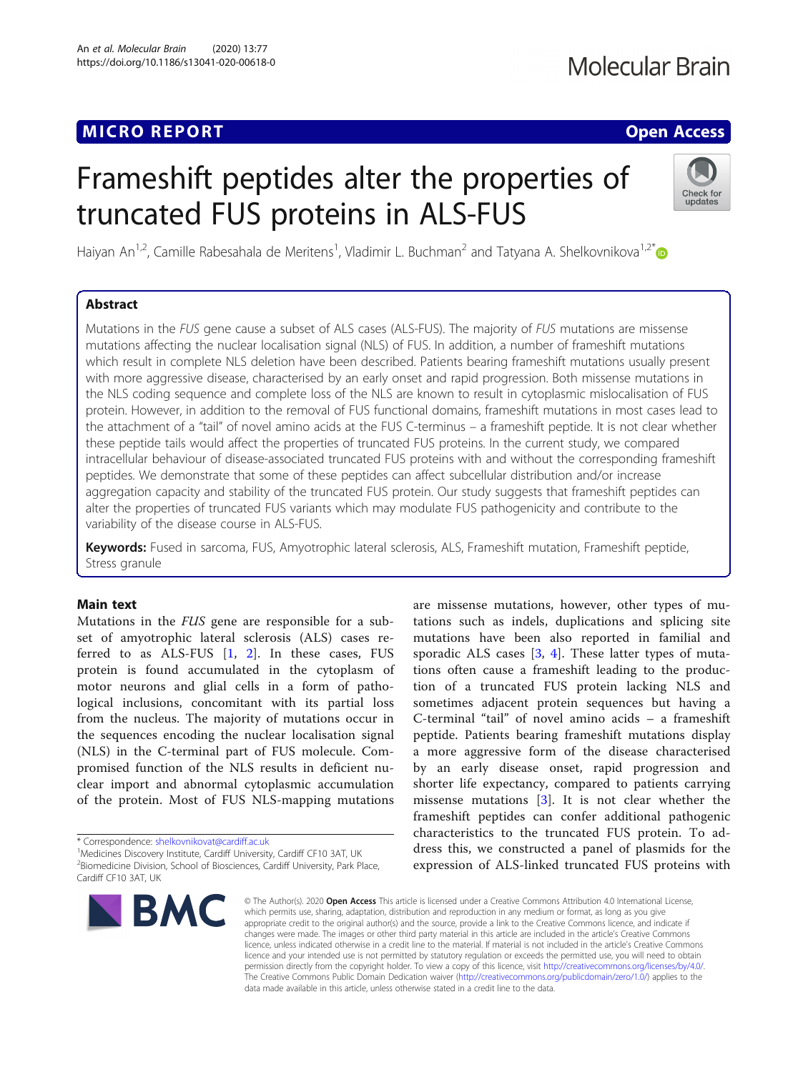## **MICRO REPORT CONSUMING A REPORT CONSUMING A REPORT CONSUMING A REPORT CONSUMING A REPORT**

# Frameshift peptides alter the properties of truncated FUS proteins in ALS-FUS



Haiyan An<sup>1,2</sup>, Camille Rabesahala de Meritens<sup>1</sup>, Vladimir L. Buchman<sup>2</sup> and Tatyana A. Shelkovnikova<sup>1,2\*</sup>

### Abstract

Mutations in the FUS gene cause a subset of ALS cases (ALS-FUS). The majority of FUS mutations are missense mutations affecting the nuclear localisation signal (NLS) of FUS. In addition, a number of frameshift mutations which result in complete NLS deletion have been described. Patients bearing frameshift mutations usually present with more aggressive disease, characterised by an early onset and rapid progression. Both missense mutations in the NLS coding sequence and complete loss of the NLS are known to result in cytoplasmic mislocalisation of FUS protein. However, in addition to the removal of FUS functional domains, frameshift mutations in most cases lead to the attachment of a "tail" of novel amino acids at the FUS C-terminus – a frameshift peptide. It is not clear whether these peptide tails would affect the properties of truncated FUS proteins. In the current study, we compared intracellular behaviour of disease-associated truncated FUS proteins with and without the corresponding frameshift peptides. We demonstrate that some of these peptides can affect subcellular distribution and/or increase aggregation capacity and stability of the truncated FUS protein. Our study suggests that frameshift peptides can alter the properties of truncated FUS variants which may modulate FUS pathogenicity and contribute to the variability of the disease course in ALS-FUS.

Keywords: Fused in sarcoma, FUS, Amyotrophic lateral sclerosis, ALS, Frameshift mutation, Frameshift peptide, Stress granule

#### Main text

Mutations in the FUS gene are responsible for a subset of amyotrophic lateral sclerosis (ALS) cases referred to as ALS-FUS [[1,](#page-3-0) [2\]](#page-3-0). In these cases, FUS protein is found accumulated in the cytoplasm of motor neurons and glial cells in a form of pathological inclusions, concomitant with its partial loss from the nucleus. The majority of mutations occur in the sequences encoding the nuclear localisation signal (NLS) in the C-terminal part of FUS molecule. Compromised function of the NLS results in deficient nuclear import and abnormal cytoplasmic accumulation of the protein. Most of FUS NLS-mapping mutations

\* Correspondence: [shelkovnikovat@cardiff.ac.uk](mailto:shelkovnikovat@cardiff.ac.uk) <sup>1</sup>

<sup>1</sup>Medicines Discovery Institute, Cardiff University, Cardiff CF10 3AT, UK <sup>2</sup> Biomedicine Division, School of Biosciences, Cardiff University, Park Place, Cardiff CF10 3AT, UK



are missense mutations, however, other types of mutations such as indels, duplications and splicing site mutations have been also reported in familial and sporadic ALS cases  $[3, 4]$  $[3, 4]$  $[3, 4]$  $[3, 4]$ . These latter types of mutations often cause a frameshift leading to the production of a truncated FUS protein lacking NLS and sometimes adjacent protein sequences but having a C-terminal "tail" of novel amino acids – a frameshift peptide. Patients bearing frameshift mutations display a more aggressive form of the disease characterised by an early disease onset, rapid progression and shorter life expectancy, compared to patients carrying missense mutations [[3\]](#page-3-0). It is not clear whether the frameshift peptides can confer additional pathogenic characteristics to the truncated FUS protein. To address this, we constructed a panel of plasmids for the expression of ALS-linked truncated FUS proteins with

© The Author(s), 2020 **Open Access** This article is licensed under a Creative Commons Attribution 4.0 International License, which permits use, sharing, adaptation, distribution and reproduction in any medium or format, as long as you give appropriate credit to the original author(s) and the source, provide a link to the Creative Commons licence, and indicate if changes were made. The images or other third party material in this article are included in the article's Creative Commons licence, unless indicated otherwise in a credit line to the material. If material is not included in the article's Creative Commons licence and your intended use is not permitted by statutory regulation or exceeds the permitted use, you will need to obtain permission directly from the copyright holder. To view a copy of this licence, visit [http://creativecommons.org/licenses/by/4.0/.](http://creativecommons.org/licenses/by/4.0/) The Creative Commons Public Domain Dedication waiver [\(http://creativecommons.org/publicdomain/zero/1.0/](http://creativecommons.org/publicdomain/zero/1.0/)) applies to the data made available in this article, unless otherwise stated in a credit line to the data.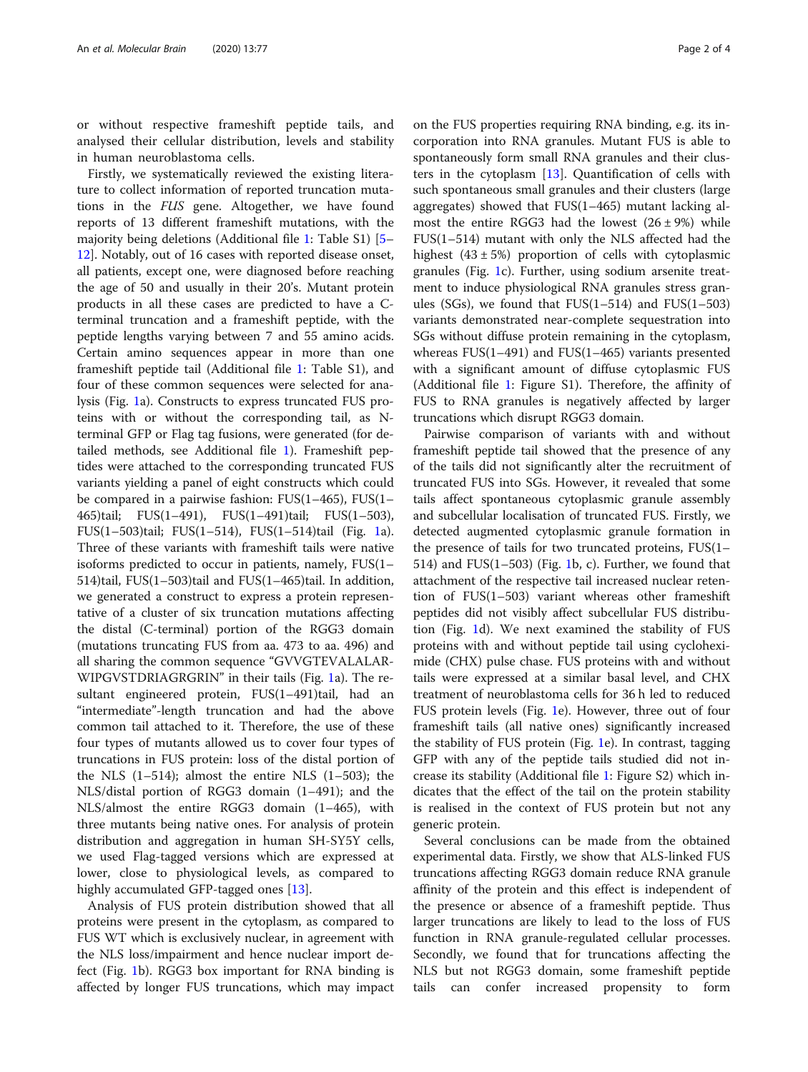or without respective frameshift peptide tails, and analysed their cellular distribution, levels and stability in human neuroblastoma cells.

Firstly, we systematically reviewed the existing literature to collect information of reported truncation mutations in the FUS gene. Altogether, we have found reports of 13 different frameshift mutations, with the majority being deletions (Additional file [1:](#page-3-0) Table S1) [[5](#page-3-0)– [12\]](#page-3-0). Notably, out of 16 cases with reported disease onset, all patients, except one, were diagnosed before reaching the age of 50 and usually in their 20's. Mutant protein products in all these cases are predicted to have a Cterminal truncation and a frameshift peptide, with the peptide lengths varying between 7 and 55 amino acids. Certain amino sequences appear in more than one frameshift peptide tail (Additional file [1:](#page-3-0) Table S1), and four of these common sequences were selected for analysis (Fig. [1](#page-2-0)a). Constructs to express truncated FUS proteins with or without the corresponding tail, as Nterminal GFP or Flag tag fusions, were generated (for detailed methods, see Additional file [1\)](#page-3-0). Frameshift peptides were attached to the corresponding truncated FUS variants yielding a panel of eight constructs which could be compared in a pairwise fashion: FUS(1–465), FUS(1– 465)tail; FUS(1–491), FUS(1–491)tail; FUS(1–503), FUS(1–503)tail; FUS(1–514), FUS(1–514)tail (Fig. [1a](#page-2-0)). Three of these variants with frameshift tails were native isoforms predicted to occur in patients, namely, FUS(1– 514)tail, FUS $(1-503)$ tail and FUS $(1-465)$ tail. In addition, we generated a construct to express a protein representative of a cluster of six truncation mutations affecting the distal (C-terminal) portion of the RGG3 domain (mutations truncating FUS from aa. 473 to aa. 496) and all sharing the common sequence "GVVGTEVALALAR-WIPGVSTDRIAGRGRIN" in their tails (Fig. [1a](#page-2-0)). The resultant engineered protein, FUS(1–491)tail, had an "intermediate"-length truncation and had the above common tail attached to it. Therefore, the use of these four types of mutants allowed us to cover four types of truncations in FUS protein: loss of the distal portion of the NLS  $(1-514)$ ; almost the entire NLS  $(1-503)$ ; the NLS/distal portion of RGG3 domain (1–491); and the NLS/almost the entire RGG3 domain (1–465), with three mutants being native ones. For analysis of protein distribution and aggregation in human SH-SY5Y cells, we used Flag-tagged versions which are expressed at lower, close to physiological levels, as compared to highly accumulated GFP-tagged ones [[13\]](#page-3-0).

Analysis of FUS protein distribution showed that all proteins were present in the cytoplasm, as compared to FUS WT which is exclusively nuclear, in agreement with the NLS loss/impairment and hence nuclear import defect (Fig. [1b](#page-2-0)). RGG3 box important for RNA binding is affected by longer FUS truncations, which may impact

on the FUS properties requiring RNA binding, e.g. its incorporation into RNA granules. Mutant FUS is able to spontaneously form small RNA granules and their clusters in the cytoplasm [[13\]](#page-3-0). Quantification of cells with such spontaneous small granules and their clusters (large aggregates) showed that FUS(1–465) mutant lacking almost the entire RGG3 had the lowest  $(26 \pm 9\%)$  while FUS(1–514) mutant with only the NLS affected had the highest  $(43 \pm 5\%)$  proportion of cells with cytoplasmic granules (Fig. [1c](#page-2-0)). Further, using sodium arsenite treatment to induce physiological RNA granules stress granules (SGs), we found that  $FUS(1-514)$  and  $FUS(1-503)$ variants demonstrated near-complete sequestration into SGs without diffuse protein remaining in the cytoplasm, whereas  $FUS(1-491)$  and  $FUS(1-465)$  variants presented with a significant amount of diffuse cytoplasmic FUS (Additional file [1](#page-3-0): Figure S1). Therefore, the affinity of FUS to RNA granules is negatively affected by larger truncations which disrupt RGG3 domain.

Pairwise comparison of variants with and without frameshift peptide tail showed that the presence of any of the tails did not significantly alter the recruitment of truncated FUS into SGs. However, it revealed that some tails affect spontaneous cytoplasmic granule assembly and subcellular localisation of truncated FUS. Firstly, we detected augmented cytoplasmic granule formation in the presence of tails for two truncated proteins, FUS(1– 514) and FUS $(1–503)$  (Fig. [1b](#page-2-0), c). Further, we found that attachment of the respective tail increased nuclear retention of FUS(1–503) variant whereas other frameshift peptides did not visibly affect subcellular FUS distribution (Fig. [1](#page-2-0)d). We next examined the stability of FUS proteins with and without peptide tail using cycloheximide (CHX) pulse chase. FUS proteins with and without tails were expressed at a similar basal level, and CHX treatment of neuroblastoma cells for 36 h led to reduced FUS protein levels (Fig. [1e](#page-2-0)). However, three out of four frameshift tails (all native ones) significantly increased the stability of FUS protein (Fig. [1e](#page-2-0)). In contrast, tagging GFP with any of the peptide tails studied did not increase its stability (Additional file [1:](#page-3-0) Figure S2) which indicates that the effect of the tail on the protein stability is realised in the context of FUS protein but not any generic protein.

Several conclusions can be made from the obtained experimental data. Firstly, we show that ALS-linked FUS truncations affecting RGG3 domain reduce RNA granule affinity of the protein and this effect is independent of the presence or absence of a frameshift peptide. Thus larger truncations are likely to lead to the loss of FUS function in RNA granule-regulated cellular processes. Secondly, we found that for truncations affecting the NLS but not RGG3 domain, some frameshift peptide tails can confer increased propensity to form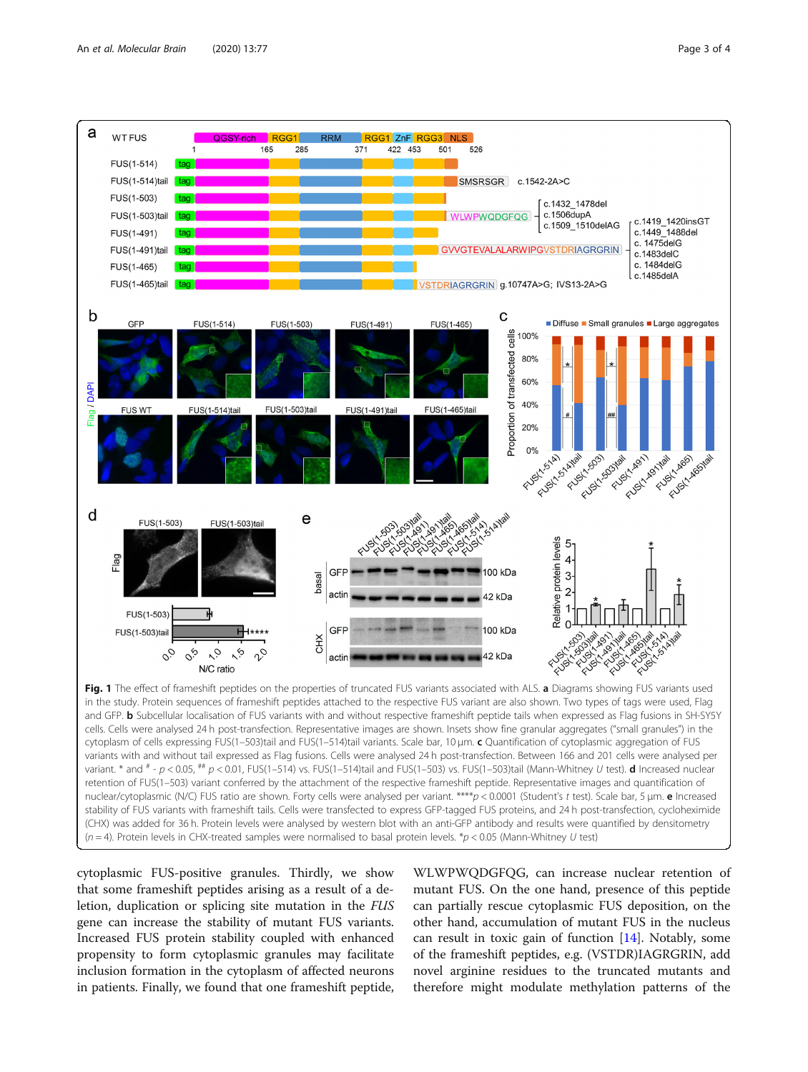<span id="page-2-0"></span>

Fig. 1 The effect of frameshift peptides on the properties of truncated FUS variants associated with ALS. a Diagrams showing FUS variants used in the study. Protein sequences of frameshift peptides attached to the respective FUS variant are also shown. Two types of tags were used, Flag and GFP. **b** Subcellular localisation of FUS variants with and without respective frameshift peptide tails when expressed as Flag fusions in SH-SY5Y cells. Cells were analysed 24 h post-transfection. Representative images are shown. Insets show fine granular aggregates ("small granules") in the cytoplasm of cells expressing FUS(1–503)tail and FUS(1–514)tail variants. Scale bar, 10 μm. c Quantification of cytoplasmic aggregation of FUS variants with and without tail expressed as Flag fusions. Cells were analysed 24 h post-transfection. Between 166 and 201 cells were analysed per variant. \* and  $*$  -  $p$  < 0.05,  $**$   $p$  < 0.01, FUS(1–514) vs. FUS(1–514)tail and FUS(1–503) vs. FUS(1–503)tail (Mann-Whitney U test). d Increased nuclear retention of FUS(1–503) variant conferred by the attachment of the respective frameshift peptide. Representative images and quantification of nuclear/cytoplasmic (N/C) FUS ratio are shown. Forty cells were analysed per variant. \*\*\*\*p < 0.0001 (Student's t test). Scale bar, 5 μm. e Increased stability of FUS variants with frameshift tails. Cells were transfected to express GFP-tagged FUS proteins, and 24 h post-transfection, cycloheximide (CHX) was added for 36 h. Protein levels were analysed by western blot with an anti-GFP antibody and results were quantified by densitometry  $(n = 4)$ . Protein levels in CHX-treated samples were normalised to basal protein levels. \*p < 0.05 (Mann-Whitney U test)

cytoplasmic FUS-positive granules. Thirdly, we show that some frameshift peptides arising as a result of a deletion, duplication or splicing site mutation in the FUS gene can increase the stability of mutant FUS variants. Increased FUS protein stability coupled with enhanced propensity to form cytoplasmic granules may facilitate inclusion formation in the cytoplasm of affected neurons in patients. Finally, we found that one frameshift peptide, WLWPWQDGFQG, can increase nuclear retention of mutant FUS. On the one hand, presence of this peptide can partially rescue cytoplasmic FUS deposition, on the other hand, accumulation of mutant FUS in the nucleus can result in toxic gain of function [[14\]](#page-3-0). Notably, some of the frameshift peptides, e.g. (VSTDR)IAGRGRIN, add novel arginine residues to the truncated mutants and therefore might modulate methylation patterns of the